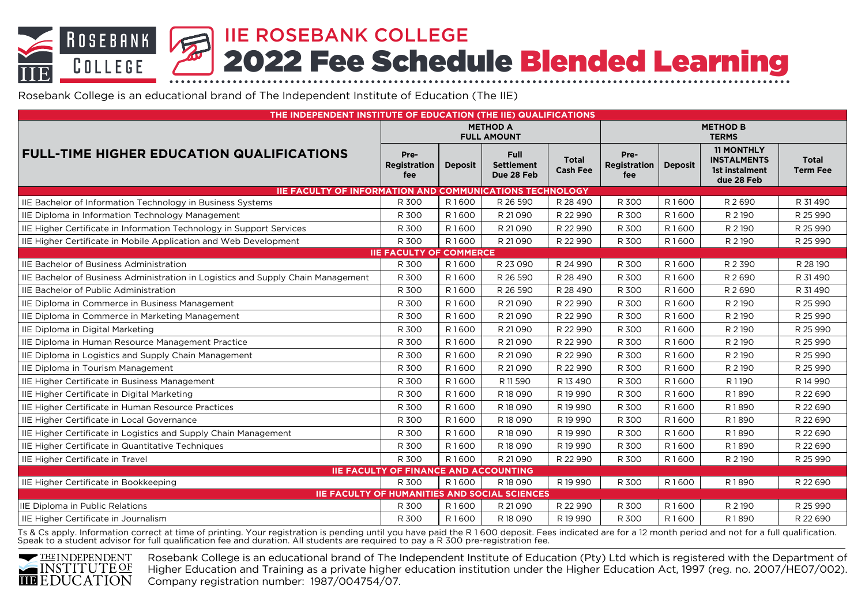IIE ROSEBANK COLLEGE **ROSEBANK** 2022 Fee Schedule Blended Learning COLLEGE

Rosebank College is an educational brand of The Independent Institute of Education (The IIE)

| THE INDEPENDENT INSTITUTE OF EDUCATION (THE IIE) QUALIFICATIONS                  |                                              |                |                                                      |                                 |                                 |                |                                                                         |                                 |  |
|----------------------------------------------------------------------------------|----------------------------------------------|----------------|------------------------------------------------------|---------------------------------|---------------------------------|----------------|-------------------------------------------------------------------------|---------------------------------|--|
|                                                                                  | <b>METHOD A</b><br><b>FULL AMOUNT</b>        |                |                                                      |                                 | <b>METHOD B</b><br><b>TERMS</b> |                |                                                                         |                                 |  |
| <b>FULL-TIME HIGHER EDUCATION QUALIFICATIONS</b>                                 | Pre-<br>Registration<br>fee                  | <b>Deposit</b> | <b>Full</b><br><b>Settlement</b><br>Due 28 Feb       | <b>Total</b><br><b>Cash Fee</b> | Pre-<br>Registration<br>fee     | <b>Deposit</b> | <b>11 MONTHLY</b><br><b>INSTALMENTS</b><br>1st instalment<br>due 28 Feb | <b>Total</b><br><b>Term Fee</b> |  |
| <b>IIE FACULTY OF INFORMATION AND COMMUNICATIONS TECHNOLOGY</b>                  |                                              |                |                                                      |                                 |                                 |                |                                                                         |                                 |  |
| IIE Bachelor of Information Technology in Business Systems                       | R 300                                        | R1600          | R 26 590                                             | R 28 490                        | R 300                           | R1600          | R 2690                                                                  | R 31490                         |  |
| IIE Diploma in Information Technology Management                                 | R 300                                        | R1600          | R 21090                                              | R 22 990                        | R 300                           | R1600          | R 2 190                                                                 | R 25 990                        |  |
| IIE Higher Certificate in Information Technology in Support Services             | R 300                                        | R1600          | R 21090                                              | R 22 990                        | R 300                           | R1600          | R 2 190                                                                 | R 25 990                        |  |
| IIE Higher Certificate in Mobile Application and Web Development                 | R 300                                        | R1600          | R 21090                                              | R 22 990                        | R 300                           | R1600          | R 2 190                                                                 | R 25 990                        |  |
|                                                                                  | <b>IIE FACULTY OF COMMERCE</b>               |                |                                                      |                                 |                                 |                |                                                                         |                                 |  |
| IIE Bachelor of Business Administration                                          | R 300                                        | R1600          | R 23 090                                             | R 24 990                        | R 300                           | R1600          | R 2 390                                                                 | R 28 190                        |  |
| IIE Bachelor of Business Administration in Logistics and Supply Chain Management | R 300                                        | R1600          | R 26 590                                             | R 28 490                        | R 300                           | R1600          | R 2690                                                                  | R 31490                         |  |
| <b>IIE Bachelor of Public Administration</b>                                     | R 300                                        | R1600          | R 26 590                                             | R 28 490                        | R 300                           | R1600          | R 2690                                                                  | R 31490                         |  |
| IIE Diploma in Commerce in Business Management                                   | R 300                                        | R1600          | R 21 0 9 0                                           | R 22 990                        | R 300                           | R1600          | R 2 190                                                                 | R 25 990                        |  |
| IIE Diploma in Commerce in Marketing Management                                  | R 300                                        | R1600          | R 21 0 9 0                                           | R 22 990                        | R 300                           | R1600          | R 2 190                                                                 | R 25 990                        |  |
| IIE Diploma in Digital Marketing                                                 | R 300                                        | R1600          | R 21 0 9 0                                           | R 22 990                        | R 300                           | R1600          | R 2 190                                                                 | R 25 990                        |  |
| IIE Diploma in Human Resource Management Practice                                | R 300                                        | R1600          | R 21090                                              | R 22 990                        | R 300                           | R1600          | R 2 190                                                                 | R 25 990                        |  |
| IIE Diploma in Logistics and Supply Chain Management                             | R 300                                        | R1600          | R 21 0 9 0                                           | R 22 990                        | R 300                           | R1600          | R 2 190                                                                 | R 25 990                        |  |
| IIE Diploma in Tourism Management                                                | R 300                                        | R1600          | R 21090                                              | R 22 990                        | R 300                           | R1600          | R 2 190                                                                 | R 25 990                        |  |
| IIE Higher Certificate in Business Management                                    | R 300                                        | R1600          | R 11 590                                             | R13490                          | R 300                           | R1600          | R1190                                                                   | R 14 990                        |  |
| IIE Higher Certificate in Digital Marketing                                      | R 300                                        | R1600          | R 18 090                                             | R19990                          | R 300                           | R1600          | R1890                                                                   | R 22 690                        |  |
| IIE Higher Certificate in Human Resource Practices                               | R 300                                        | R1600          | R 18 090                                             | R19990                          | R 300                           | R1600          | R1890                                                                   | R 22 690                        |  |
| IIE Higher Certificate in Local Governance                                       | R 300                                        | R1600          | R 18 0 9 0                                           | R19990                          | R 300                           | R1600          | R1890                                                                   | R 22 690                        |  |
| IIE Higher Certificate in Logistics and Supply Chain Management                  | R 300                                        | R1600          | R 18 090                                             | R 19 990                        | R 300                           | R1600          | R1890                                                                   | R 22 690                        |  |
| IIE Higher Certificate in Quantitative Techniques                                | R 300                                        | R1600          | R 18 090                                             | R19990                          | R 300                           | R1600          | R1890                                                                   | R 22 690                        |  |
| IIE Higher Certificate in Travel                                                 | R 300                                        | R1600          | R 21 0 9 0                                           | R 22 990                        | R 300                           | R1600          | R 2 190                                                                 | R 25 990                        |  |
|                                                                                  | <b>IIE FACULTY OF FINANCE AND ACCOUNTING</b> |                |                                                      |                                 |                                 |                |                                                                         |                                 |  |
| IE Higher Certificate in Bookkeeping                                             | R 300                                        | R1600          | R 18 090                                             | R 19 990                        | R 300                           | R1600          | R1890                                                                   | R 22 690                        |  |
|                                                                                  |                                              |                | <b>IIE FACULTY OF HUMANITIES AND SOCIAL SCIENCES</b> |                                 |                                 |                |                                                                         |                                 |  |
| IIE Diploma in Public Relations                                                  | R 300                                        | R1600          | R 21 0 9 0                                           | R 22 990                        | R 300                           | R1600          | R 2 190                                                                 | R 25 990                        |  |
| IIE Higher Certificate in Journalism                                             | R 300                                        | R1600          | R 18 090                                             | R 19 990                        | R 300                           | R1600          | R1890                                                                   | R 22 690                        |  |

Ts & Cs apply. Information correct at time of printing. Your registration is pending until you have paid the R 1 600 deposit. Fees indicated are for a 12 month period and not for a full qualification. Speak to a student advisor for full qualification fee and duration. All students are required to pay a R 300 pre-registration fee.



Rosebank College is an educational brand of The Independent Institute of Education (Pty) Ltd which is registered with the Department of Higher Education and Training as a private higher education institution under the Higher Education Act, 1997 (reg. no. 2007/HE07/002). Company registration number: 1987/004754/07.